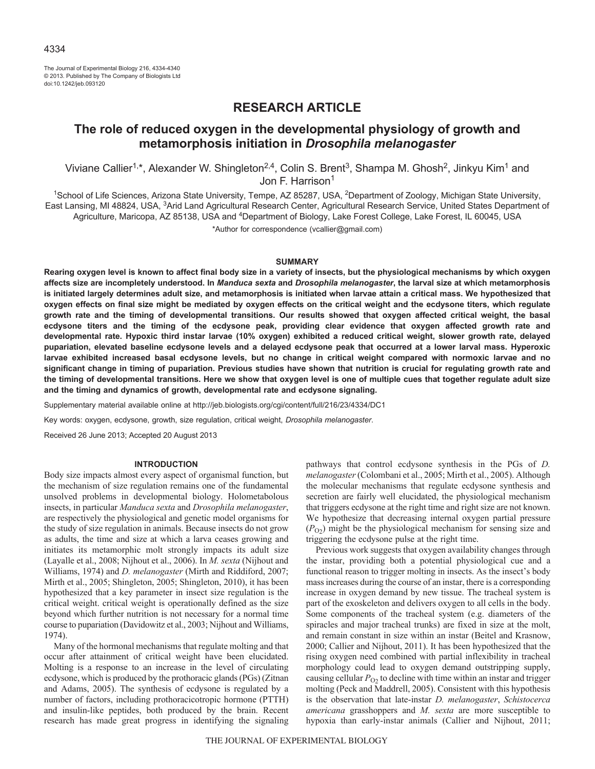The Journal of Experimental Biology 216, 4334-4340 © 2013. Published by The Company of Biologists Ltd doi:10.1242/jeb.093120

# **RESEARCH ARTICLE**

# **The role of reduced oxygen in the developmental physiology of growth and metamorphosis initiation in** *Drosophila melanogaster*

Viviane Callier<sup>1,\*</sup>, Alexander W. Shingleton<sup>2,4</sup>, Colin S. Brent<sup>3</sup>, Shampa M. Ghosh<sup>2</sup>, Jinkyu Kim<sup>1</sup> and Jon F. Harrison<sup>1</sup>

<sup>1</sup>School of Life Sciences, Arizona State University, Tempe, AZ 85287, USA, <sup>2</sup>Department of Zoology, Michigan State University, East Lansing, MI 48824, USA, <sup>3</sup>Arid Land Agricultural Research Center, Agricultural Research Service, United States Department of Agriculture, Maricopa, AZ 85138, USA and <sup>4</sup>Department of Biology, Lake Forest College, Lake Forest, IL 60045, USA

\*Author for correspondence (vcallier@gmail.com)

# **SUMMARY**

**Rearing oxygen level is known to affect final body size in a variety of insects, but the physiological mechanisms by which oxygen affects size are incompletely understood. In** *Manduca sexta* **and** *Drosophila melanogaster***, the larval size at which metamorphosis is initiated largely determines adult size, and metamorphosis is initiated when larvae attain a critical mass. We hypothesized that oxygen effects on final size might be mediated by oxygen effects on the critical weight and the ecdysone titers, which regulate growth rate and the timing of developmental transitions. Our results showed that oxygen affected critical weight, the basal ecdysone titers and the timing of the ecdysone peak, providing clear evidence that oxygen affected growth rate and developmental rate. Hypoxic third instar larvae (10% oxygen) exhibited a reduced critical weight, slower growth rate, delayed pupariation, elevated baseline ecdysone levels and a delayed ecdysone peak that occurred at a lower larval mass. Hyperoxic larvae exhibited increased basal ecdysone levels, but no change in critical weight compared with normoxic larvae and no significant change in timing of pupariation. Previous studies have shown that nutrition is crucial for regulating growth rate and the timing of developmental transitions. Here we show that oxygen level is one of multiple cues that together regulate adult size and the timing and dynamics of growth, developmental rate and ecdysone signaling.**

Supplementary material available online at http://jeb.biologists.org/cgi/content/full/216/23/4334/DC1

Key words: oxygen, ecdysone, growth, size regulation, critical weight, *Drosophila melanogaster*.

Received 26 June 2013; Accepted 20 August 2013

# **INTRODUCTION**

Body size impacts almost every aspect of organismal function, but the mechanism of size regulation remains one of the fundamental unsolved problems in developmental biology. Holometabolous insects, in particular *Manduca sexta* and *Drosophila melanogaster*, are respectively the physiological and genetic model organisms for the study of size regulation in animals. Because insects do not grow as adults, the time and size at which a larva ceases growing and initiates its metamorphic molt strongly impacts its adult size (Layalle et al., 2008; Nijhout et al., 2006). In *M. sexta* (Nijhout and Williams, 1974) and *D. melanogaster* (Mirth and Riddiford, 2007; Mirth et al., 2005; Shingleton, 2005; Shingleton, 2010), it has been hypothesized that a key parameter in insect size regulation is the critical weight. critical weight is operationally defined as the size beyond which further nutrition is not necessary for a normal time course to pupariation (Davidowitz et al., 2003; Nijhout and Williams, 1974).

Many of the hormonal mechanisms that regulate molting and that occur after attainment of critical weight have been elucidated. Molting is a response to an increase in the level of circulating ecdysone, which is produced by the prothoracic glands (PGs) (Zitnan and Adams, 2005). The synthesis of ecdysone is regulated by a number of factors, including prothoracicotropic hormone (PTTH) and insulin-like peptides, both produced by the brain. Recent research has made great progress in identifying the signaling

pathways that control ecdysone synthesis in the PGs of *D. melanogaster*(Colombani et al., 2005; Mirth et al., 2005). Although the molecular mechanisms that regulate ecdysone synthesis and secretion are fairly well elucidated, the physiological mechanism that triggers ecdysone at the right time and right size are not known. We hypothesize that decreasing internal oxygen partial pressure  $(P<sub>O2</sub>)$  might be the physiological mechanism for sensing size and triggering the ecdysone pulse at the right time.

Previous work suggests that oxygen availability changes through the instar, providing both a potential physiological cue and a functional reason to trigger molting in insects. As the insect's body mass increases during the course of an instar, there is a corresponding increase in oxygen demand by new tissue. The tracheal system is part of the exoskeleton and delivers oxygen to all cells in the body. Some components of the tracheal system (e.g. diameters of the spiracles and major tracheal trunks) are fixed in size at the molt, and remain constant in size within an instar (Beitel and Krasnow, 2000; Callier and Nijhout, 2011). It has been hypothesized that the rising oxygen need combined with partial inflexibility in tracheal morphology could lead to oxygen demand outstripping supply, causing cellular  $P<sub>O2</sub>$  to decline with time within an instar and trigger molting (Peck and Maddrell, 2005). Consistent with this hypothesis is the observation that late-instar *D. melanogaster*, *Schistocerca americana* grasshoppers and *M. sexta* are more susceptible to hypoxia than early-instar animals (Callier and Nijhout, 2011;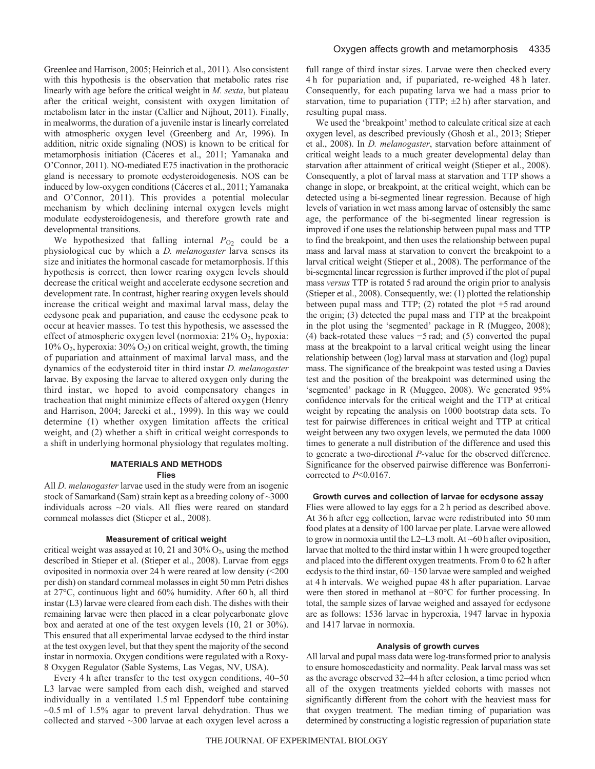Greenlee and Harrison, 2005; Heinrich et al., 2011). Also consistent with this hypothesis is the observation that metabolic rates rise linearly with age before the critical weight in *M. sexta*, but plateau after the critical weight, consistent with oxygen limitation of metabolism later in the instar (Callier and Nijhout, 2011). Finally, in mealworms, the duration of a juvenile instar is linearly correlated with atmospheric oxygen level (Greenberg and Ar, 1996). In addition, nitric oxide signaling (NOS) is known to be critical for metamorphosis initiation (Cáceres et al., 2011; Yamanaka and O'Connor, 2011). NO-mediated E75 inactivation in the prothoracic gland is necessary to promote ecdysteroidogenesis. NOS can be induced by low-oxygen conditions (Cáceres et al., 2011; Yamanaka and O'Connor, 2011). This provides a potential molecular mechanism by which declining internal oxygen levels might modulate ecdysteroidogenesis, and therefore growth rate and developmental transitions.

We hypothesized that falling internal  $P_{O2}$  could be a physiological cue by which a *D. melanogaster* larva senses its size and initiates the hormonal cascade for metamorphosis. If this hypothesis is correct, then lower rearing oxygen levels should decrease the critical weight and accelerate ecdysone secretion and development rate. In contrast, higher rearing oxygen levels should increase the critical weight and maximal larval mass, delay the ecdysone peak and pupariation, and cause the ecdysone peak to occur at heavier masses. To test this hypothesis, we assessed the effect of atmospheric oxygen level (normoxia:  $21\%$  O<sub>2</sub>, hypoxia: 10% O2, hyperoxia: 30% O2) on critical weight, growth, the timing of pupariation and attainment of maximal larval mass, and the dynamics of the ecdysteroid titer in third instar *D. melanogaster* larvae. By exposing the larvae to altered oxygen only during the third instar, we hoped to avoid compensatory changes in tracheation that might minimize effects of altered oxygen (Henry and Harrison, 2004; Jarecki et al., 1999). In this way we could determine (1) whether oxygen limitation affects the critical weight, and (2) whether a shift in critical weight corresponds to a shift in underlying hormonal physiology that regulates molting.

# **MATERIALS AND METHODS Flies**

All *D. melanogaster* larvae used in the study were from an isogenic stock of Samarkand (Sam) strain kept as a breeding colony of ~3000 individuals across ~20 vials. All flies were reared on standard cornmeal molasses diet (Stieper et al., 2008).

### **Measurement of critical weight**

critical weight was assayed at 10, 21 and 30%  $O_2$ , using the method described in Stieper et al. (Stieper et al., 2008). Larvae from eggs oviposited in normoxia over 24 h were reared at low density (<200 per dish) on standard cornmeal molasses in eight 50 mm Petri dishes at 27°C, continuous light and 60% humidity. After 60 h, all third instar (L3) larvae were cleared from each dish. The dishes with their remaining larvae were then placed in a clear polycarbonate glove box and aerated at one of the test oxygen levels (10, 21 or 30%). This ensured that all experimental larvae ecdysed to the third instar at the test oxygen level, but that they spent the majority of the second instar in normoxia. Oxygen conditions were regulated with a Roxy-8 Oxygen Regulator (Sable Systems, Las Vegas, NV, USA).

Every 4 h after transfer to the test oxygen conditions, 40–50 L3 larvae were sampled from each dish, weighed and starved individually in a ventilated 1.5 ml Eppendorf tube containing  $\sim$ 0.5 ml of 1.5% agar to prevent larval dehydration. Thus we collected and starved ~300 larvae at each oxygen level across a full range of third instar sizes. Larvae were then checked every 4 h for pupariation and, if pupariated, re-weighed 48 h later. Consequently, for each pupating larva we had a mass prior to starvation, time to pupariation (TTP;  $\pm 2$  h) after starvation, and resulting pupal mass.

We used the 'breakpoint' method to calculate critical size at each oxygen level, as described previously (Ghosh et al., 2013; Stieper et al., 2008). In *D. melanogaster*, starvation before attainment of critical weight leads to a much greater developmental delay than starvation after attainment of critical weight (Stieper et al., 2008). Consequently, a plot of larval mass at starvation and TTP shows a change in slope, or breakpoint, at the critical weight, which can be detected using a bi-segmented linear regression. Because of high levels of variation in wet mass among larvae of ostensibly the same age, the performance of the bi-segmented linear regression is improved if one uses the relationship between pupal mass and TTP to find the breakpoint, and then uses the relationship between pupal mass and larval mass at starvation to convert the breakpoint to a larval critical weight (Stieper et al., 2008). The performance of the bi-segmental linear regression is further improved if the plot of pupal mass *versus* TTP is rotated 5 rad around the origin prior to analysis (Stieper et al., 2008). Consequently, we: (1) plotted the relationship between pupal mass and TTP; (2) rotated the plot +5 rad around the origin; (3) detected the pupal mass and TTP at the breakpoint in the plot using the 'segmented' package in R (Muggeo, 2008); (4) back-rotated these values −5 rad; and (5) converted the pupal mass at the breakpoint to a larval critical weight using the linear relationship between (log) larval mass at starvation and (log) pupal mass. The significance of the breakpoint was tested using a Davies test and the position of the breakpoint was determined using the 'segmented' package in R (Muggeo, 2008). We generated 95% confidence intervals for the critical weight and the TTP at critical weight by repeating the analysis on 1000 bootstrap data sets. To test for pairwise differences in critical weight and TTP at critical weight between any two oxygen levels, we permuted the data 1000 times to generate a null distribution of the difference and used this to generate a two-directional *P*-value for the observed difference. Significance for the observed pairwise difference was Bonferronicorrected to *P*<0.0167.

### **Growth curves and collection of larvae for ecdysone assay**

Flies were allowed to lay eggs for a 2 h period as described above. At 36 h after egg collection, larvae were redistributed into 50 mm food plates at a density of 100 larvae per plate. Larvae were allowed to grow in normoxia until the L2–L3 molt. At ~60 h after oviposition, larvae that molted to the third instar within 1 h were grouped together and placed into the different oxygen treatments. From 0 to 62 h after ecdysis to the third instar, 60–150 larvae were sampled and weighed at 4 h intervals. We weighed pupae 48 h after pupariation. Larvae were then stored in methanol at −80°C for further processing. In total, the sample sizes of larvae weighed and assayed for ecdysone are as follows: 1536 larvae in hyperoxia, 1947 larvae in hypoxia and 1417 larvae in normoxia.

## **Analysis of growth curves**

All larval and pupal mass data were log-transformed prior to analysis to ensure homoscedasticity and normality. Peak larval mass was set as the average observed 32–44 h after eclosion, a time period when all of the oxygen treatments yielded cohorts with masses not significantly different from the cohort with the heaviest mass for that oxygen treatment. The median timing of pupariation was determined by constructing a logistic regression of pupariation state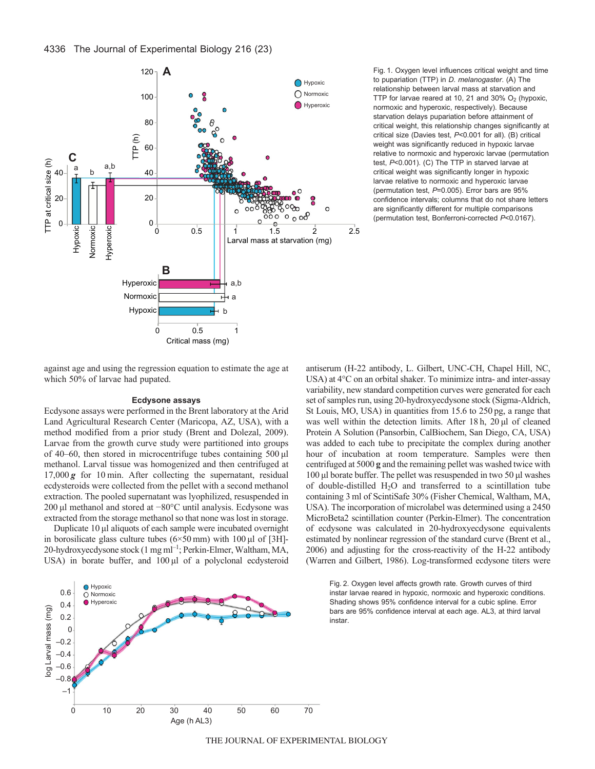

Fig. 1. Oxygen level influences critical weight and time to pupariation (TTP) in *D. melanogaster*. (A) The relationship between larval mass at starvation and TTP for larvae reared at 10, 21 and 30%  $O<sub>2</sub>$  (hypoxic, normoxic and hyperoxic, respectively). Because starvation delays pupariation before attainment of critical weight, this relationship changes significantly at critical size (Davies test, *P*<0.001 for all). (B) critical weight was significantly reduced in hypoxic larvae relative to normoxic and hyperoxic larvae (permutation test, *P*<0.001). (C) The TTP in starved larvae at critical weight was significantly longer in hypoxic larvae relative to normoxic and hyperoxic larvae (permutation test, *P*=0.005). Error bars are 95% confidence intervals; columns that do not share letters are significantly different for multiple comparisons (permutation test, Bonferroni-corrected *P*<0.0167).

against age and using the regression equation to estimate the age at which 50% of larvae had pupated.

# **Ecdysone assays**

Ecdysone assays were performed in the Brent laboratory at the Arid Land Agricultural Research Center (Maricopa, AZ, USA), with a method modified from a prior study (Brent and Dolezal, 2009). Larvae from the growth curve study were partitioned into groups of 40–60, then stored in microcentrifuge tubes containing 500 μl methanol. Larval tissue was homogenized and then centrifuged at 17,000 *g* for 10 min. After collecting the supernatant, residual ecdysteroids were collected from the pellet with a second methanol extraction. The pooled supernatant was lyophilized, resuspended in 200 μl methanol and stored at −80°C until analysis. Ecdysone was extracted from the storage methanol so that none was lost in storage.

Duplicate 10 μl aliquots of each sample were incubated overnight in borosilicate glass culture tubes (6×50 mm) with 100 μl of [3H]- 20-hydroxyecdysone stock (1 mg ml<sup>-1</sup>; Perkin-Elmer, Waltham, MA, USA) in borate buffer, and 100 μl of a polyclonal ecdysteroid antiserum (H-22 antibody, L. Gilbert, UNC-CH, Chapel Hill, NC, USA) at 4°C on an orbital shaker. To minimize intra- and inter-assay variability, new standard competition curves were generated for each set of samples run, using 20-hydroxyecdysone stock (Sigma-Aldrich, St Louis, MO, USA) in quantities from 15.6 to 250 pg, a range that was well within the detection limits. After 18 h, 20 μl of cleaned Protein A Solution (Pansorbin, CalBiochem, San Diego, CA, USA) was added to each tube to precipitate the complex during another hour of incubation at room temperature. Samples were then centrifuged at 5000 **g** and the remaining pellet was washed twice with 100 μl borate buffer. The pellet was resuspended in two 50 μl washes of double-distilled H2O and transferred to a scintillation tube containing 3 ml of ScintiSafe 30% (Fisher Chemical, Waltham, MA, USA). The incorporation of microlabel was determined using a 2450 MicroBeta2 scintillation counter (Perkin-Elmer). The concentration of ecdysone was calculated in 20-hydroxyecdysone equivalents estimated by nonlinear regression of the standard curve (Brent et al., 2006) and adjusting for the cross-reactivity of the H-22 antibody (Warren and Gilbert, 1986). Log-transformed ecdysone titers were



Fig. 2. Oxygen level affects growth rate. Growth curves of third instar larvae reared in hypoxic, normoxic and hyperoxic conditions. Shading shows 95% confidence interval for a cubic spline. Error bars are 95% confidence interval at each age. AL3, at third larval instar.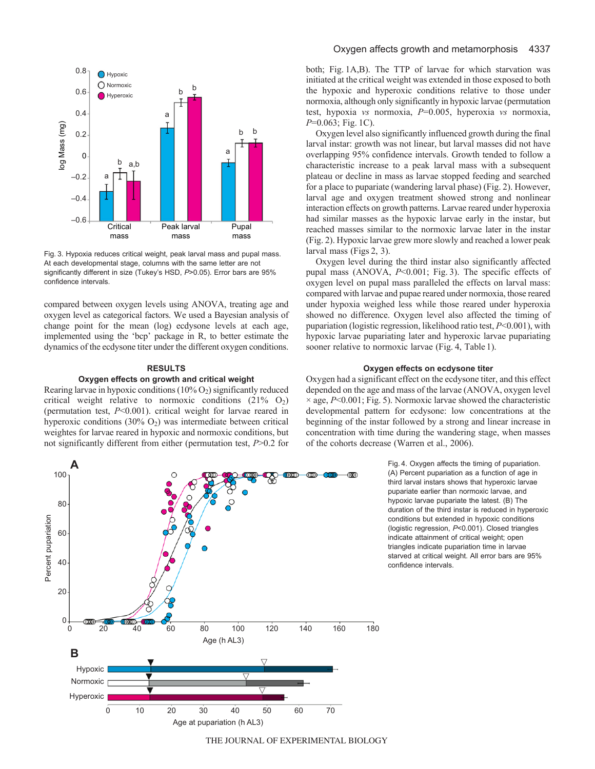

Fig. 3. Hypoxia reduces critical weight, peak larval mass and pupal mass. At each developmental stage, columns with the same letter are not significantly different in size (Tukey's HSD, *P*>0.05). Error bars are 95% confidence intervals.

compared between oxygen levels using ANOVA, treating age and oxygen level as categorical factors. We used a Bayesian analysis of change point for the mean (log) ecdysone levels at each age, implemented using the 'bcp' package in R, to better estimate the dynamics of the ecdysone titer under the different oxygen conditions.

### **RESULTS**

## **Oxygen effects on growth and critical weight**

Rearing larvae in hypoxic conditions  $(10\% O_2)$  significantly reduced critical weight relative to normoxic conditions  $(21\% \text{ O}_2)$ (permutation test, *P*<0.001). critical weight for larvae reared in hyperoxic conditions  $(30\% \text{ O}_2)$  was intermediate between critical weightes for larvae reared in hypoxic and normoxic conditions, but not significantly different from either (permutation test, *P*>0.2 for both; Fig. 1A,B). The TTP of larvae for which starvation was initiated at the critical weight was extended in those exposed to both the hypoxic and hyperoxic conditions relative to those under normoxia, although only significantly in hypoxic larvae (permutation test, hypoxia *vs* normoxia, *P*=0.005, hyperoxia *vs* normoxia, *P*=0.063; Fig. 1C).

Oxygen level also significantly influenced growth during the final larval instar: growth was not linear, but larval masses did not have overlapping 95% confidence intervals. Growth tended to follow a characteristic increase to a peak larval mass with a subsequent plateau or decline in mass as larvae stopped feeding and searched for a place to pupariate (wandering larval phase) (Fig. 2). However, larval age and oxygen treatment showed strong and nonlinear interaction effects on growth patterns. Larvae reared under hyperoxia had similar masses as the hypoxic larvae early in the instar, but reached masses similar to the normoxic larvae later in the instar (Fig. 2). Hypoxic larvae grew more slowly and reached a lower peak larval mass (Figs 2, 3).

Oxygen level during the third instar also significantly affected pupal mass (ANOVA, *P*<0.001; Fig. 3). The specific effects of oxygen level on pupal mass paralleled the effects on larval mass: compared with larvae and pupae reared under normoxia, those reared under hypoxia weighed less while those reared under hyperoxia showed no difference. Oxygen level also affected the timing of pupariation (logistic regression, likelihood ratio test, *P*<0.001), with hypoxic larvae pupariating later and hyperoxic larvae pupariating sooner relative to normoxic larvae (Fig. 4, Table 1).

### **Oxygen effects on ecdysone titer**

Oxygen had a significant effect on the ecdysone titer, and this effect depended on the age and mass of the larvae (ANOVA, oxygen level  $\times$  age,  $P<0.001$ ; Fig. 5). Normoxic larvae showed the characteristic developmental pattern for ecdysone: low concentrations at the beginning of the instar followed by a strong and linear increase in concentration with time during the wandering stage, when masses of the cohorts decrease (Warren et al., 2006).

> Fig. 4. Oxygen affects the timing of pupariation. (A) Percent pupariation as a function of age in third larval instars shows that hyperoxic larvae pupariate earlier than normoxic larvae, and hypoxic larvae pupariate the latest. (B) The duration of the third instar is reduced in hyperoxic conditions but extended in hypoxic conditions (logistic regression, *P*<0.001). Closed triangles indicate attainment of critical weight; open triangles indicate pupariation time in larvae starved at critical weight. All error bars are 95% confidence intervals.



THE JOURNAL OF EXPERIMENTAL BIOLOGY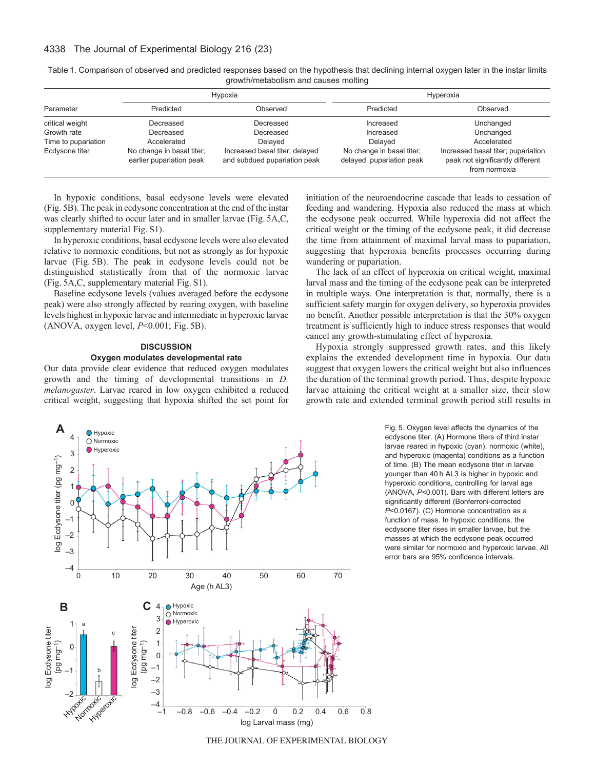# 4338 The Journal of Experimental Biology 216 (23)

| Parameter           | Hypoxia                                               |                                                                | Hyperoxia                                             |                                                                                         |
|---------------------|-------------------------------------------------------|----------------------------------------------------------------|-------------------------------------------------------|-----------------------------------------------------------------------------------------|
|                     | Predicted                                             | Observed                                                       | Predicted                                             | Observed                                                                                |
| critical weight     | Decreased                                             | Decreased                                                      | Increased                                             | Unchanged                                                                               |
| Growth rate         | Decreased                                             | Decreased                                                      | Increased                                             | Unchanged                                                                               |
| Time to pupariation | Accelerated                                           | Delaved                                                        | Delaved                                               | Accelerated                                                                             |
| Ecdysone titer      | No change in basal titer;<br>earlier pupariation peak | Increased basal titer; delayed<br>and subdued pupariation peak | No change in basal titer;<br>delayed pupariation peak | Increased basal titer; pupariation<br>peak not significantly different<br>from normoxia |

Table 1. Comparison of observed and predicted responses based on the hypothesis that declining internal oxygen later in the instar limits growth/metabolism and causes molting

In hypoxic conditions, basal ecdysone levels were elevated (Fig. 5B). The peak in ecdysone concentration at the end of the instar was clearly shifted to occur later and in smaller larvae (Fig. 5A,C, supplementary material Fig. S1).

In hyperoxic conditions, basal ecdysone levels were also elevated relative to normoxic conditions, but not as strongly as for hypoxic larvae (Fig. 5B). The peak in ecdysone levels could not be distinguished statistically from that of the normoxic larvae (Fig. 5A,C, supplementary material Fig. S1).

Baseline ecdysone levels (values averaged before the ecdysone peak) were also strongly affected by rearing oxygen, with baseline levels highest in hypoxic larvae and intermediate in hyperoxic larvae (ANOVA, oxygen level, *P*<0.001; Fig. 5B).

# **DISCUSSION Oxygen modulates developmental rate**

Our data provide clear evidence that reduced oxygen modulates growth and the timing of developmental transitions in *D. melanogaster*. Larvae reared in low oxygen exhibited a reduced critical weight, suggesting that hypoxia shifted the set point for initiation of the neuroendocrine cascade that leads to cessation of feeding and wandering. Hypoxia also reduced the mass at which the ecdysone peak occurred. While hyperoxia did not affect the critical weight or the timing of the ecdysone peak, it did decrease the time from attainment of maximal larval mass to pupariation, suggesting that hyperoxia benefits processes occurring during wandering or pupariation.

The lack of an effect of hyperoxia on critical weight, maximal larval mass and the timing of the ecdysone peak can be interpreted in multiple ways. One interpretation is that, normally, there is a sufficient safety margin for oxygen delivery, so hyperoxia provides no benefit. Another possible interpretation is that the 30% oxygen treatment is sufficiently high to induce stress responses that would cancel any growth-stimulating effect of hyperoxia.

Hypoxia strongly suppressed growth rates, and this likely explains the extended development time in hypoxia. Our data suggest that oxygen lowers the critical weight but also influences the duration of the terminal growth period. Thus, despite hypoxic larvae attaining the critical weight at a smaller size, their slow growth rate and extended terminal growth period still results in



Fig. 5. Oxygen level affects the dynamics of the ecdysone titer. (A) Hormone titers of third instar larvae reared in hypoxic (cyan), normoxic (white), and hyperoxic (magenta) conditions as a function of time. (B) The mean ecdysone titer in larvae younger than 40 h AL3 is higher in hypoxic and hyperoxic conditions, controlling for larval age (ANOVA, *P*<0.001). Bars with different letters are significantly different (Bonferroni-corrected *P*<0.0167). (C) Hormone concentration as a function of mass. In hypoxic conditions, the ecdysone titer rises in smaller larvae, but the masses at which the ecdysone peak occurred were similar for normoxic and hyperoxic larvae. All error bars are 95% confidence intervals.

THE JOURNAL OF EXPERIMENTAL BIOLOGY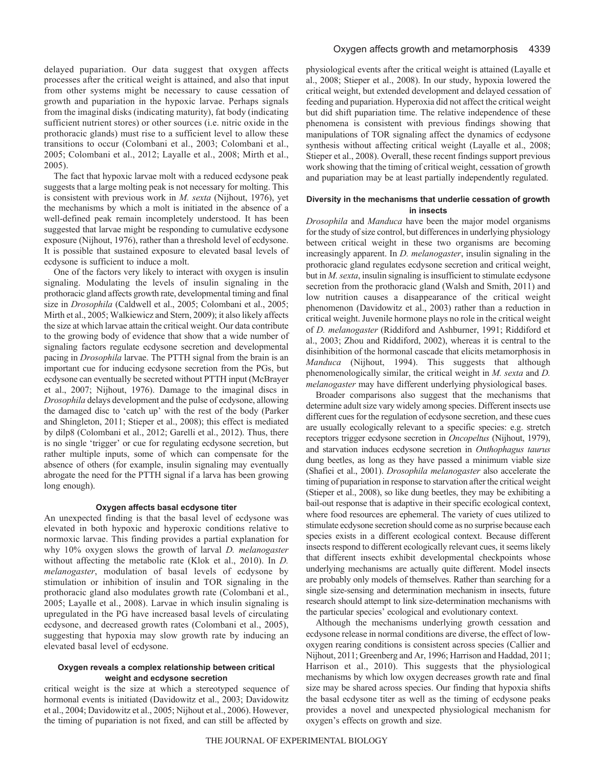delayed pupariation. Our data suggest that oxygen affects processes after the critical weight is attained, and also that input from other systems might be necessary to cause cessation of growth and pupariation in the hypoxic larvae. Perhaps signals from the imaginal disks (indicating maturity), fat body (indicating sufficient nutrient stores) or other sources (i.e. nitric oxide in the prothoracic glands) must rise to a sufficient level to allow these transitions to occur (Colombani et al., 2003; Colombani et al., 2005; Colombani et al., 2012; Layalle et al., 2008; Mirth et al., 2005).

The fact that hypoxic larvae molt with a reduced ecdysone peak suggests that a large molting peak is not necessary for molting. This is consistent with previous work in *M. sexta* (Nijhout, 1976), yet the mechanisms by which a molt is initiated in the absence of a well-defined peak remain incompletely understood. It has been suggested that larvae might be responding to cumulative ecdysone exposure (Nijhout, 1976), rather than a threshold level of ecdysone. It is possible that sustained exposure to elevated basal levels of ecdysone is sufficient to induce a molt.

One of the factors very likely to interact with oxygen is insulin signaling. Modulating the levels of insulin signaling in the prothoracic gland affects growth rate, developmental timing and final size in *Drosophila* (Caldwell et al., 2005; Colombani et al., 2005; Mirth et al., 2005; Walkiewicz and Stern, 2009); it also likely affects the size at which larvae attain the critical weight. Our data contribute to the growing body of evidence that show that a wide number of signaling factors regulate ecdysone secretion and developmental pacing in *Drosophila* larvae. The PTTH signal from the brain is an important cue for inducing ecdysone secretion from the PGs, but ecdysone can eventually be secreted without PTTH input (McBrayer et al., 2007; Nijhout, 1976). Damage to the imaginal discs in *Drosophila* delays development and the pulse of ecdysone, allowing the damaged disc to 'catch up' with the rest of the body (Parker and Shingleton, 2011; Stieper et al., 2008); this effect is mediated by dilp8 (Colombani et al., 2012; Garelli et al., 2012). Thus, there is no single 'trigger' or cue for regulating ecdysone secretion, but rather multiple inputs, some of which can compensate for the absence of others (for example, insulin signaling may eventually abrogate the need for the PTTH signal if a larva has been growing long enough).

### **Oxygen affects basal ecdysone titer**

An unexpected finding is that the basal level of ecdysone was elevated in both hypoxic and hyperoxic conditions relative to normoxic larvae. This finding provides a partial explanation for why 10% oxygen slows the growth of larval *D. melanogaster* without affecting the metabolic rate (Klok et al., 2010). In *D. melanogaster*, modulation of basal levels of ecdysone by stimulation or inhibition of insulin and TOR signaling in the prothoracic gland also modulates growth rate (Colombani et al., 2005; Layalle et al., 2008). Larvae in which insulin signaling is upregulated in the PG have increased basal levels of circulating ecdysone, and decreased growth rates (Colombani et al., 2005), suggesting that hypoxia may slow growth rate by inducing an elevated basal level of ecdysone.

# **Oxygen reveals a complex relationship between critical weight and ecdysone secretion**

critical weight is the size at which a stereotyped sequence of hormonal events is initiated (Davidowitz et al., 2003; Davidowitz et al., 2004; Davidowitz et al., 2005; Nijhout et al., 2006). However, the timing of pupariation is not fixed, and can still be affected by physiological events after the critical weight is attained (Layalle et al., 2008; Stieper et al., 2008). In our study, hypoxia lowered the critical weight, but extended development and delayed cessation of feeding and pupariation. Hyperoxia did not affect the critical weight but did shift pupariation time. The relative independence of these phenomena is consistent with previous findings showing that manipulations of TOR signaling affect the dynamics of ecdysone synthesis without affecting critical weight (Layalle et al., 2008; Stieper et al., 2008). Overall, these recent findings support previous work showing that the timing of critical weight, cessation of growth and pupariation may be at least partially independently regulated.

# **Diversity in the mechanisms that underlie cessation of growth in insects**

*Drosophila* and *Manduca* have been the major model organisms for the study of size control, but differences in underlying physiology between critical weight in these two organisms are becoming increasingly apparent. In *D. melanogaster*, insulin signaling in the prothoracic gland regulates ecdysone secretion and critical weight, but in *M. sexta*, insulin signaling is insufficient to stimulate ecdysone secretion from the prothoracic gland (Walsh and Smith, 2011) and low nutrition causes a disappearance of the critical weight phenomenon (Davidowitz et al., 2003) rather than a reduction in critical weight. Juvenile hormone plays no role in the critical weight of *D. melanogaster* (Riddiford and Ashburner, 1991; Riddiford et al., 2003; Zhou and Riddiford, 2002), whereas it is central to the disinhibition of the hormonal cascade that elicits metamorphosis in *Manduca* (Nijhout, 1994). This suggests that although phenomenologically similar, the critical weight in *M. sexta* and *D. melanogaster* may have different underlying physiological bases.

Broader comparisons also suggest that the mechanisms that determine adult size vary widely among species. Different insects use different cues for the regulation of ecdysone secretion, and these cues are usually ecologically relevant to a specific species: e.g. stretch receptors trigger ecdysone secretion in *Oncopeltus* (Nijhout, 1979), and starvation induces ecdysone secretion in *Onthophagus taurus* dung beetles, as long as they have passed a minimum viable size (Shafiei et al., 2001). *Drosophila melanogaster* also accelerate the timing of pupariation in response to starvation after the critical weight (Stieper et al., 2008), so like dung beetles, they may be exhibiting a bail-out response that is adaptive in their specific ecological context, where food resources are ephemeral. The variety of cues utilized to stimulate ecdysone secretion should come as no surprise because each species exists in a different ecological context. Because different insects respond to different ecologically relevant cues, it seems likely that different insects exhibit developmental checkpoints whose underlying mechanisms are actually quite different. Model insects are probably only models of themselves. Rather than searching for a single size-sensing and determination mechanism in insects, future research should attempt to link size-determination mechanisms with the particular species' ecological and evolutionary context.

Although the mechanisms underlying growth cessation and ecdysone release in normal conditions are diverse, the effect of lowoxygen rearing conditions is consistent across species (Callier and Nijhout, 2011; Greenberg and Ar, 1996; Harrison and Haddad, 2011; Harrison et al., 2010). This suggests that the physiological mechanisms by which low oxygen decreases growth rate and final size may be shared across species. Our finding that hypoxia shifts the basal ecdysone titer as well as the timing of ecdysone peaks provides a novel and unexpected physiological mechanism for oxygen's effects on growth and size.